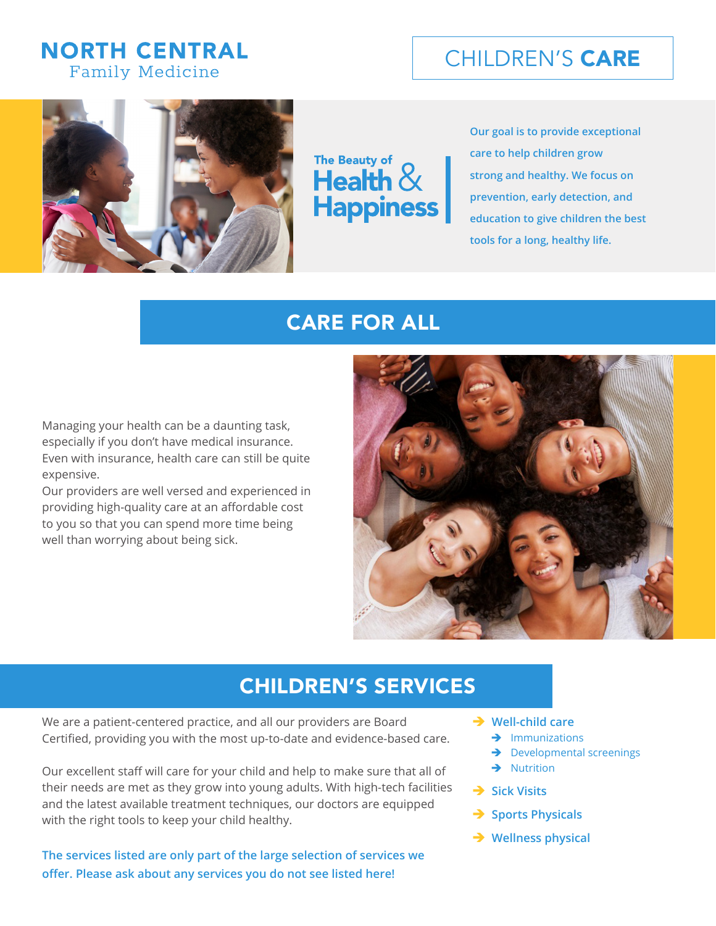## **NORTH CENTRAL Family Medicine**



The Beauty of **Realth** & **Happiness** 

**Our goal is to provide exceptional care to help children grow strong and healthy. We focus on prevention, early detection, and education to give children the best tools for a long, healthy life.**

## CARE FOR ALL

Managing your health can be a daunting task, especially if you don't have medical insurance. Even with insurance, health care can still be quite expensive.

Our providers are well versed and experienced in providing high-quality care at an affordable cost to you so that you can spend more time being well than worrying about being sick.



## CHILDREN'S SERVICES

We are a patient-centered practice, and all our providers are Board Certified, providing you with the most up-to-date and evidence-based care.

Our excellent staff will care for your child and help to make sure that all of their needs are met as they grow into young adults. With high-tech facilities and the latest available treatment techniques, our doctors are equipped with the right tools to keep your child healthy.

**The services listed are only part of the large selection of services we offer. Please ask about any services you do not see listed here!** 

- **→ Well-child care** 
	- $\rightarrow$  Immunizations
	- $\rightarrow$  Developmental screenings
	- $\rightarrow$  Nutrition
- **→ Sick Visits**
- $\rightarrow$  **Sports Physicals**
- **→ Wellness physical**